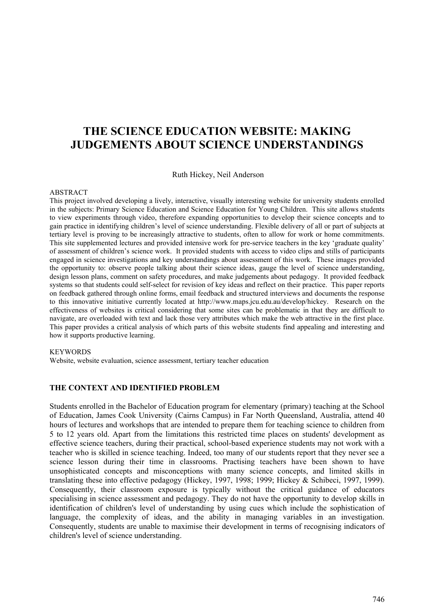# **THE SCIENCE EDUCATION WEBSITE: MAKING JUDGEMENTS ABOUT SCIENCE UNDERSTANDINGS**

Ruth Hickey, Neil Anderson

#### ABSTRACT

This project involved developing a lively, interactive, visually interesting website for university students enrolled in the subjects: Primary Science Education and Science Education for Young Children. This site allows students to view experiments through video, therefore expanding opportunities to develop their science concepts and to gain practice in identifying children's level of science understanding. Flexible delivery of all or part of subjects at tertiary level is proving to be increasingly attractive to students, often to allow for work or home commitments. This site supplemented lectures and provided intensive work for pre-service teachers in the key 'graduate quality' of assessment of children's science work. It provided students with access to video clips and stills of participants engaged in science investigations and key understandings about assessment of this work. These images provided the opportunity to: observe people talking about their science ideas, gauge the level of science understanding, design lesson plans, comment on safety procedures, and make judgements about pedagogy. It provided feedback systems so that students could self-select for revision of key ideas and reflect on their practice. This paper reports on feedback gathered through online forms, email feedback and structured interviews and documents the response to this innovative initiative currently located at http://www.maps.jcu.edu.au/develop/hickey. Research on the effectiveness of websites is critical considering that some sites can be problematic in that they are difficult to navigate, are overloaded with text and lack those very attributes which make the web attractive in the first place. This paper provides a critical analysis of which parts of this website students find appealing and interesting and how it supports productive learning.

#### **KEYWORDS**

Website, website evaluation, science assessment, tertiary teacher education

## **THE CONTEXT AND IDENTIFIED PROBLEM**

Students enrolled in the Bachelor of Education program for elementary (primary) teaching at the School of Education, James Cook University (Cairns Campus) in Far North Queensland, Australia, attend 40 hours of lectures and workshops that are intended to prepare them for teaching science to children from 5 to 12 years old. Apart from the limitations this restricted time places on students' development as effective science teachers, during their practical, school-based experience students may not work with a teacher who is skilled in science teaching. Indeed, too many of our students report that they never see a science lesson during their time in classrooms. Practising teachers have been shown to have unsophisticated concepts and misconceptions with many science concepts, and limited skills in translating these into effective pedagogy (Hickey, 1997, 1998; 1999; Hickey & Schibeci, 1997, 1999). Consequently, their classroom exposure is typically without the critical guidance of educators specialising in science assessment and pedagogy. They do not have the opportunity to develop skills in identification of children's level of understanding by using cues which include the sophistication of language, the complexity of ideas, and the ability in managing variables in an investigation. Consequently, students are unable to maximise their development in terms of recognising indicators of children's level of science understanding.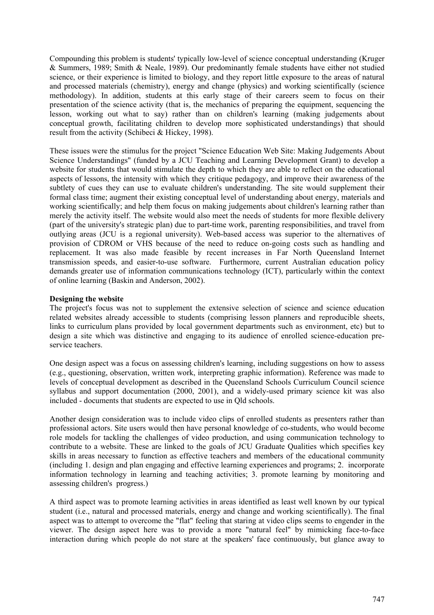Compounding this problem is students' typically low-level of science conceptual understanding (Kruger & Summers, 1989; Smith & Neale, 1989). Our predominantly female students have either not studied science, or their experience is limited to biology, and they report little exposure to the areas of natural and processed materials (chemistry), energy and change (physics) and working scientifically (science methodology). In addition, students at this early stage of their careers seem to focus on their presentation of the science activity (that is, the mechanics of preparing the equipment, sequencing the lesson, working out what to say) rather than on children's learning (making judgements about conceptual growth, facilitating children to develop more sophisticated understandings) that should result from the activity (Schibeci & Hickey, 1998).

These issues were the stimulus for the project "Science Education Web Site: Making Judgements About Science Understandings" (funded by a JCU Teaching and Learning Development Grant) to develop a website for students that would stimulate the depth to which they are able to reflect on the educational aspects of lessons, the intensity with which they critique pedagogy, and improve their awareness of the subtlety of cues they can use to evaluate children's understanding. The site would supplement their formal class time; augment their existing conceptual level of understanding about energy, materials and working scientifically; and help them focus on making judgements about children's learning rather than merely the activity itself. The website would also meet the needs of students for more flexible delivery (part of the university's strategic plan) due to part-time work, parenting responsibilities, and travel from outlying areas (JCU is a regional university). Web-based access was superior to the alternatives of provision of CDROM or VHS because of the need to reduce on-going costs such as handling and replacement. It was also made feasible by recent increases in Far North Queensland Internet transmission speeds, and easier-to-use software. Furthermore, current Australian education policy demands greater use of information communications technology (ICT), particularly within the context of online learning (Baskin and Anderson, 2002).

## **Designing the website**

The project's focus was not to supplement the extensive selection of science and science education related websites already accessible to students (comprising lesson planners and reproducible sheets, links to curriculum plans provided by local government departments such as environment, etc) but to design a site which was distinctive and engaging to its audience of enrolled science-education preservice teachers.

One design aspect was a focus on assessing children's learning, including suggestions on how to assess (e.g., questioning, observation, written work, interpreting graphic information). Reference was made to levels of conceptual development as described in the Queensland Schools Curriculum Council science syllabus and support documentation (2000, 2001), and a widely-used primary science kit was also included - documents that students are expected to use in Qld schools.

Another design consideration was to include video clips of enrolled students as presenters rather than professional actors. Site users would then have personal knowledge of co-students, who would become role models for tackling the challenges of video production, and using communication technology to contribute to a website. These are linked to the goals of JCU Graduate Qualities which specifies key skills in areas necessary to function as effective teachers and members of the educational community (including 1. design and plan engaging and effective learning experiences and programs; 2. incorporate information technology in learning and teaching activities; 3. promote learning by monitoring and assessing children's progress.)

A third aspect was to promote learning activities in areas identified as least well known by our typical student (i.e., natural and processed materials, energy and change and working scientifically). The final aspect was to attempt to overcome the "flat" feeling that staring at video clips seems to engender in the viewer. The design aspect here was to provide a more "natural feel" by mimicking face-to-face interaction during which people do not stare at the speakers' face continuously, but glance away to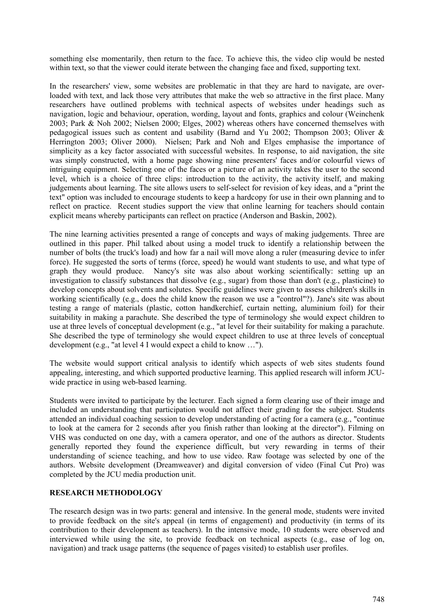something else momentarily, then return to the face. To achieve this, the video clip would be nested within text, so that the viewer could iterate between the changing face and fixed, supporting text.

In the researchers' view, some websites are problematic in that they are hard to navigate, are overloaded with text, and lack those very attributes that make the web so attractive in the first place. Many researchers have outlined problems with technical aspects of websites under headings such as navigation, logic and behaviour, operation, wording, layout and fonts, graphics and colour (Weinchenk 2003; Park & Noh 2002; Nielsen 2000; Elges, 2002) whereas others have concerned themselves with pedagogical issues such as content and usability (Barnd and Yu 2002; Thompson 2003; Oliver & Herrington 2003; Oliver 2000). Nielsen; Park and Noh and Elges emphasise the importance of simplicity as a key factor associated with successful websites. In response, to aid navigation, the site was simply constructed, with a home page showing nine presenters' faces and/or colourful views of intriguing equipment. Selecting one of the faces or a picture of an activity takes the user to the second level, which is a choice of three clips: introduction to the activity, the activity itself, and making judgements about learning. The site allows users to self-select for revision of key ideas, and a "print the text" option was included to encourage students to keep a hardcopy for use in their own planning and to reflect on practice. Recent studies support the view that online learning for teachers should contain explicit means whereby participants can reflect on practice (Anderson and Baskin, 2002).

The nine learning activities presented a range of concepts and ways of making judgements. Three are outlined in this paper. Phil talked about using a model truck to identify a relationship between the number of bolts (the truck's load) and how far a nail will move along a ruler (measuring device to infer force). He suggested the sorts of terms (force, speed) he would want students to use, and what type of graph they would produce. Nancy's site was also about working scientifically: setting up an investigation to classify substances that dissolve (e.g., sugar) from those than don't (e.g., plasticine) to develop concepts about solvents and solutes. Specific guidelines were given to assess children's skills in working scientifically (e.g., does the child know the reason we use a "control"?). Jane's site was about testing a range of materials (plastic, cotton handkerchief, curtain netting, aluminium foil) for their suitability in making a parachute. She described the type of terminology she would expect children to use at three levels of conceptual development (e.g., "at level for their suitability for making a parachute. She described the type of terminology she would expect children to use at three levels of conceptual development (e.g., "at level 4 I would expect a child to know …").

The website would support critical analysis to identify which aspects of web sites students found appealing, interesting, and which supported productive learning. This applied research will inform JCUwide practice in using web-based learning.

Students were invited to participate by the lecturer. Each signed a form clearing use of their image and included an understanding that participation would not affect their grading for the subject. Students attended an individual coaching session to develop understanding of acting for a camera (e.g., "continue to look at the camera for 2 seconds after you finish rather than looking at the director"). Filming on VHS was conducted on one day, with a camera operator, and one of the authors as director. Students generally reported they found the experience difficult, but very rewarding in terms of their understanding of science teaching, and how to use video. Raw footage was selected by one of the authors. Website development (Dreamweaver) and digital conversion of video (Final Cut Pro) was completed by the JCU media production unit.

## **RESEARCH METHODOLOGY**

The research design was in two parts: general and intensive. In the general mode, students were invited to provide feedback on the site's appeal (in terms of engagement) and productivity (in terms of its contribution to their development as teachers). In the intensive mode, 10 students were observed and interviewed while using the site, to provide feedback on technical aspects (e.g., ease of log on, navigation) and track usage patterns (the sequence of pages visited) to establish user profiles.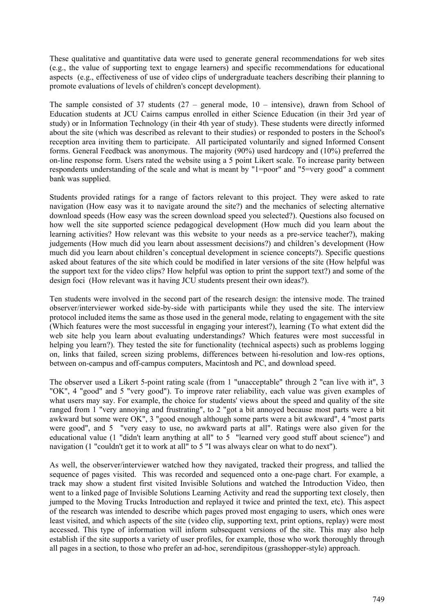These qualitative and quantitative data were used to generate general recommendations for web sites (e.g., the value of supporting text to engage learners) and specific recommendations for educational aspects (e.g., effectiveness of use of video clips of undergraduate teachers describing their planning to promote evaluations of levels of children's concept development).

The sample consisted of 37 students  $(27 - \text{general mode}, 10 - \text{intensive})$ , drawn from School of Education students at JCU Cairns campus enrolled in either Science Education (in their 3rd year of study) or in Information Technology (in their 4th year of study). These students were directly informed about the site (which was described as relevant to their studies) or responded to posters in the School's reception area inviting them to participate. All participated voluntarily and signed Informed Consent forms. General Feedback was anonymous. The majority (90%) used hardcopy and (10%) preferred the on-line response form. Users rated the website using a 5 point Likert scale. To increase parity between respondents understanding of the scale and what is meant by "1=poor" and "5=very good" a comment bank was supplied.

Students provided ratings for a range of factors relevant to this project. They were asked to rate navigation (How easy was it to navigate around the site?) and the mechanics of selecting alternative download speeds (How easy was the screen download speed you selected?). Questions also focused on how well the site supported science pedagogical development (How much did you learn about the learning activities? How relevant was this website to your needs as a pre-service teacher?), making judgements (How much did you learn about assessment decisions?) and children's development (How much did you learn about children's conceptual development in science concepts?). Specific questions asked about features of the site which could be modified in later versions of the site (How helpful was the support text for the video clips? How helpful was option to print the support text?) and some of the design foci (How relevant was it having JCU students present their own ideas?).

Ten students were involved in the second part of the research design: the intensive mode. The trained observer/interviewer worked side-by-side with participants while they used the site. The interview protocol included items the same as those used in the general mode, relating to engagement with the site (Which features were the most successful in engaging your interest?), learning (To what extent did the web site help you learn about evaluating understandings? Which features were most successful in helping you learn?). They tested the site for functionality (technical aspects) such as problems logging on, links that failed, screen sizing problems, differences between hi-resolution and low-res options, between on-campus and off-campus computers, Macintosh and PC, and download speed.

The observer used a Likert 5-point rating scale (from 1 "unacceptable" through 2 "can live with it", 3 "OK", 4 "good" and 5 "very good"). To improve rater reliability, each value was given examples of what users may say. For example, the choice for students' views about the speed and quality of the site ranged from 1 "very annoying and frustrating", to 2 "got a bit annoyed because most parts were a bit awkward but some were OK", 3 "good enough although some parts were a bit awkward", 4 "most parts were good", and 5 "very easy to use, no awkward parts at all". Ratings were also given for the educational value (1 "didn't learn anything at all" to 5 "learned very good stuff about science") and navigation (1 "couldn't get it to work at all" to 5 "I was always clear on what to do next").

As well, the observer/interviewer watched how they navigated, tracked their progress, and tallied the sequence of pages visited. This was recorded and sequenced onto a one-page chart. For example, a track may show a student first visited Invisible Solutions and watched the Introduction Video, then went to a linked page of Invisible Solutions Learning Activity and read the supporting text closely, then jumped to the Moving Trucks Introduction and replayed it twice and printed the text, etc). This aspect of the research was intended to describe which pages proved most engaging to users, which ones were least visited, and which aspects of the site (video clip, supporting text, print options, replay) were most accessed. This type of information will inform subsequent versions of the site. This may also help establish if the site supports a variety of user profiles, for example, those who work thoroughly through all pages in a section, to those who prefer an ad-hoc, serendipitous (grasshopper-style) approach.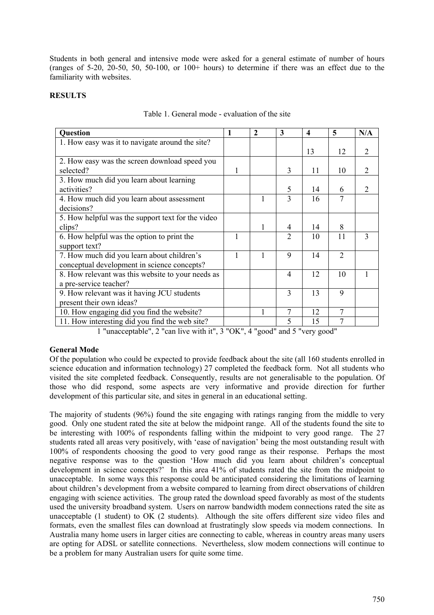Students in both general and intensive mode were asked for a general estimate of number of hours (ranges of 5-20, 20-50, 50, 50-100, or 100+ hours) to determine if there was an effect due to the familiarity with websites.

## **RESULTS**

| <b>Question</b>                                   | $\mathbf{1}$ | $\mathbf{2}$ | 3              | $\overline{\mathbf{4}}$ | 5              | N/A |
|---------------------------------------------------|--------------|--------------|----------------|-------------------------|----------------|-----|
| 1. How easy was it to navigate around the site?   |              |              |                |                         |                |     |
|                                                   |              |              |                | 13                      | 12             | 2   |
| 2. How easy was the screen download speed you     |              |              |                |                         |                |     |
| selected?                                         |              |              | 3              | 11                      | 10             | 2   |
| 3. How much did you learn about learning          |              |              |                |                         |                |     |
| activities?                                       |              |              | 5              | 14                      | 6              | 2   |
| 4. How much did you learn about assessment        |              |              | 3              | 16                      | 7              |     |
| decisions?                                        |              |              |                |                         |                |     |
| 5. How helpful was the support text for the video |              |              |                |                         |                |     |
| clips?                                            |              |              | 4              | 14                      | 8              |     |
| 6. How helpful was the option to print the        | 1            |              | 2              | 10                      | 11             | 3   |
| support text?                                     |              |              |                |                         |                |     |
| 7. How much did you learn about children's        | 1            |              | 9              | 14                      | $\overline{2}$ |     |
| conceptual development in science concepts?       |              |              |                |                         |                |     |
| 8. How relevant was this website to your needs as |              |              | $\overline{4}$ | 12                      | 10             |     |
| a pre-service teacher?                            |              |              |                |                         |                |     |
| 9. How relevant was it having JCU students        |              |              | 3              | 13                      | 9              |     |
| present their own ideas?                          |              |              |                |                         |                |     |
| 10. How engaging did you find the website?        |              |              | 7              | 12                      | 7              |     |
| 11. How interesting did you find the web site?    |              |              | 5              | 15                      | 7              |     |

# Table 1. General mode - evaluation of the site

1 "unacceptable", 2 "can live with it", 3 "OK", 4 "good" and 5 "very good"

# **General Mode**

Of the population who could be expected to provide feedback about the site (all 160 students enrolled in science education and information technology) 27 completed the feedback form. Not all students who visited the site completed feedback. Consequently, results are not generalisable to the population. Of those who did respond, some aspects are very informative and provide direction for further development of this particular site, and sites in general in an educational setting.

The majority of students (96%) found the site engaging with ratings ranging from the middle to very good. Only one student rated the site at below the midpoint range. All of the students found the site to be interesting with 100% of respondents falling within the midpoint to very good range. The 27 students rated all areas very positively, with 'ease of navigation' being the most outstanding result with 100% of respondents choosing the good to very good range as their response. Perhaps the most negative response was to the question 'How much did you learn about children's conceptual development in science concepts?' In this area 41% of students rated the site from the midpoint to unacceptable. In some ways this response could be anticipated considering the limitations of learning about children's development from a website compared to learning from direct observations of children engaging with science activities. The group rated the download speed favorably as most of the students used the university broadband system. Users on narrow bandwidth modem connections rated the site as unacceptable (1 student) to OK (2 students). Although the site offers different size video files and formats, even the smallest files can download at frustratingly slow speeds via modem connections. In Australia many home users in larger cities are connecting to cable, whereas in country areas many users are opting for ADSL or satellite connections. Nevertheless, slow modem connections will continue to be a problem for many Australian users for quite some time.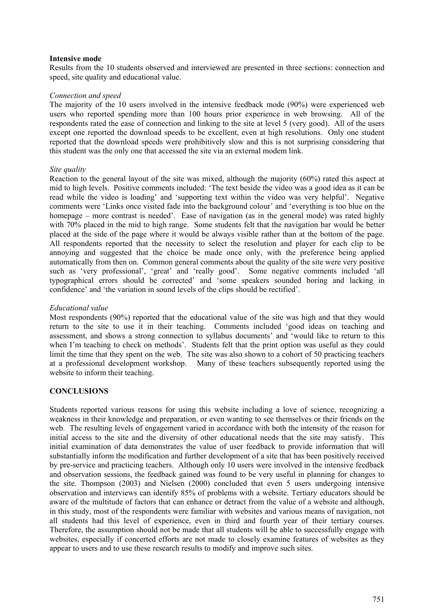### **Intensive mode**

Results from the 10 students observed and interviewed are presented in three sections: connection and speed, site quality and educational value.

#### *Connection and speed*

The majority of the 10 users involved in the intensive feedback mode (90%) were experienced web users who reported spending more than 100 hours prior experience in web browsing. All of the respondents rated the ease of connection and linking to the site at level 5 (very good). All of the users except one reported the download speeds to be excellent, even at high resolutions. Only one student reported that the download speeds were prohibitively slow and this is not surprising considering that this student was the only one that accessed the site via an external modem link.

#### *Site quality*

Reaction to the general layout of the site was mixed, although the majority (60%) rated this aspect at mid to high levels. Positive comments included: 'The text beside the video was a good idea as it can be read while the video is loading' and 'supporting text within the video was very helpful'. Negative comments were 'Links once visited fade into the background colour' and 'everything is too blue on the homepage – more contrast is needed'. Ease of navigation (as in the general mode) was rated highly with 70% placed in the mid to high range. Some students felt that the navigation bar would be better placed at the side of the page where it would be always visible rather than at the bottom of the page. All respondents reported that the necessity to select the resolution and player for each clip to be annoying and suggested that the choice be made once only, with the preference being applied automatically from then on. Common general comments about the quality of the site were very positive such as 'very professional', 'great' and 'really good'. Some negative comments included 'all typographical errors should be corrected' and 'some speakers sounded boring and lacking in confidence' and 'the variation in sound levels of the clips should be rectified'.

### *Educational value*

Most respondents (90%) reported that the educational value of the site was high and that they would return to the site to use it in their teaching. Comments included 'good ideas on teaching and assessment, and shows a strong connection to syllabus documents' and 'would like to return to this when I'm teaching to check on methods'. Students felt that the print option was useful as they could limit the time that they spent on the web. The site was also shown to a cohort of 50 practicing teachers at a professional development workshop. Many of these teachers subsequently reported using the website to inform their teaching.

## **CONCLUSIONS**

Students reported various reasons for using this website including a love of science, recognizing a weakness in their knowledge and preparation, or even wanting to see themselves or their friends on the web. The resulting levels of engagement varied in accordance with both the intensity of the reason for initial access to the site and the diversity of other educational needs that the site may satisfy. This initial examination of data demonstrates the value of user feedback to provide information that will substantially inform the modification and further development of a site that has been positively received by pre-service and practicing teachers. Although only 10 users were involved in the intensive feedback and observation sessions, the feedback gained was found to be very useful in planning for changes to the site. Thompson (2003) and Nielsen (2000) concluded that even 5 users undergoing intensive observation and interviews can identify 85% of problems with a website. Tertiary educators should be aware of the multitude of factors that can enhance or detract from the value of a website and although, in this study, most of the respondents were familiar with websites and various means of navigation, not all students had this level of experience, even in third and fourth year of their tertiary courses. Therefore, the assumption should not be made that all students will be able to successfully engage with websites, especially if concerted efforts are not made to closely examine features of websites as they appear to users and to use these research results to modify and improve such sites.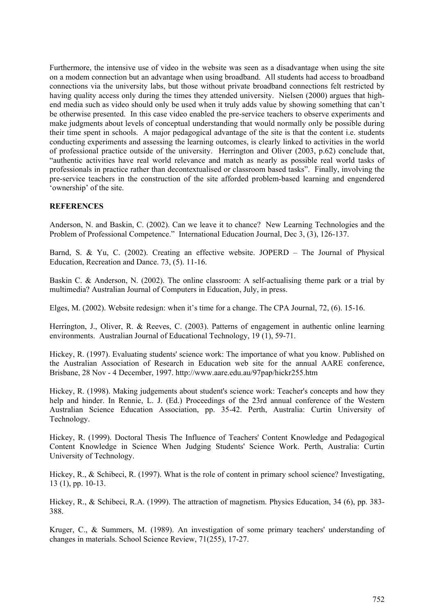Furthermore, the intensive use of video in the website was seen as a disadvantage when using the site on a modem connection but an advantage when using broadband. All students had access to broadband connections via the university labs, but those without private broadband connections felt restricted by having quality access only during the times they attended university. Nielsen (2000) argues that highend media such as video should only be used when it truly adds value by showing something that can't be otherwise presented. In this case video enabled the pre-service teachers to observe experiments and make judgments about levels of conceptual understanding that would normally only be possible during their time spent in schools. A major pedagogical advantage of the site is that the content i.e. students conducting experiments and assessing the learning outcomes, is clearly linked to activities in the world of professional practice outside of the university. Herrington and Oliver (2003, p.62) conclude that, "authentic activities have real world relevance and match as nearly as possible real world tasks of professionals in practice rather than decontextualised or classroom based tasks". Finally, involving the pre-service teachers in the construction of the site afforded problem-based learning and engendered 'ownership' of the site.

# **REFERENCES**

Anderson, N. and Baskin, C. (2002). Can we leave it to chance? New Learning Technologies and the Problem of Professional Competence." International Education Journal, Dec 3, (3), 126-137.

Barnd, S. & Yu, C. (2002). Creating an effective website. JOPERD – The Journal of Physical Education, Recreation and Dance. 73, (5). 11-16.

Baskin C. & Anderson, N. (2002). The online classroom: A self-actualising theme park or a trial by multimedia? Australian Journal of Computers in Education, July, in press.

Elges, M. (2002). Website redesign: when it's time for a change. The CPA Journal, 72, (6). 15-16.

Herrington, J., Oliver, R. & Reeves, C. (2003). Patterns of engagement in authentic online learning environments. Australian Journal of Educational Technology, 19 (1), 59-71.

Hickey, R. (1997). Evaluating students' science work: The importance of what you know. Published on the Australian Association of Research in Education web site for the annual AARE conference, Brisbane, 28 Nov - 4 December, 1997. http://www.aare.edu.au/97pap/hickr255.htm

Hickey, R. (1998). Making judgements about student's science work: Teacher's concepts and how they help and hinder. In Rennie, L. J. (Ed.) Proceedings of the 23rd annual conference of the Western Australian Science Education Association, pp. 35-42. Perth, Australia: Curtin University of Technology.

Hickey, R. (1999). Doctoral Thesis The Influence of Teachers' Content Knowledge and Pedagogical Content Knowledge in Science When Judging Students' Science Work. Perth, Australia: Curtin University of Technology.

Hickey, R., & Schibeci, R. (1997). What is the role of content in primary school science? Investigating, 13 (1), pp. 10-13.

Hickey, R., & Schibeci, R.A. (1999). The attraction of magnetism. Physics Education, 34 (6), pp. 383- 388.

Kruger, C., & Summers, M. (1989). An investigation of some primary teachers' understanding of changes in materials. School Science Review, 71(255), 17-27.